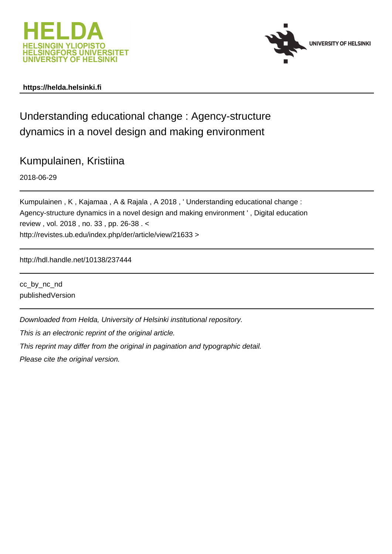



# **https://helda.helsinki.fi**

Understanding educational change : Agency-structure dynamics in a novel design and making environment

Kumpulainen, Kristiina

2018-06-29

Kumpulainen , K , Kajamaa , A & Rajala , A 2018 , ' Understanding educational change : Agency-structure dynamics in a novel design and making environment ' , Digital education review , vol. 2018 , no. 33 , pp. 26-38 . < http://revistes.ub.edu/index.php/der/article/view/21633 >

http://hdl.handle.net/10138/237444

cc\_by\_nc\_nd publishedVersion

Downloaded from Helda, University of Helsinki institutional repository.

This is an electronic reprint of the original article.

This reprint may differ from the original in pagination and typographic detail.

Please cite the original version.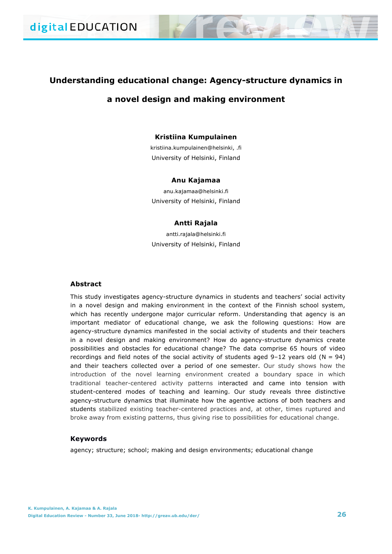# **Understanding educational change: Agency-structure dynamics in a novel design and making environment**

## **Kristiina Kumpulainen**

kristiina.kumpulainen@helsinki, .fi University of Helsinki, Finland

#### **Anu Kajamaa**

anu.kajamaa@helsinki.fi University of Helsinki, Finland

## **Antti Rajala**

antti.rajala@helsinki.fi University of Helsinki, Finland

## **Abstract**

This study investigates agency-structure dynamics in students and teachers' social activity in a novel design and making environment in the context of the Finnish school system, which has recently undergone major curricular reform. Understanding that agency is an important mediator of educational change, we ask the following questions: How are agency-structure dynamics manifested in the social activity of students and their teachers in a novel design and making environment? How do agency-structure dynamics create possibilities and obstacles for educational change? The data comprise 65 hours of video recordings and field notes of the social activity of students aged  $9-12$  years old (N = 94) and their teachers collected over a period of one semester. Our study shows how the introduction of the novel learning environment created a boundary space in which traditional teacher-centered activity patterns interacted and came into tension with student-centered modes of teaching and learning. Our study reveals three distinctive agency-structure dynamics that illuminate how the agentive actions of both teachers and students stabilized existing teacher-centered practices and, at other, times ruptured and broke away from existing patterns, thus giving rise to possibilities for educational change.

## **Keywords**

agency; structure; school; making and design environments; educational change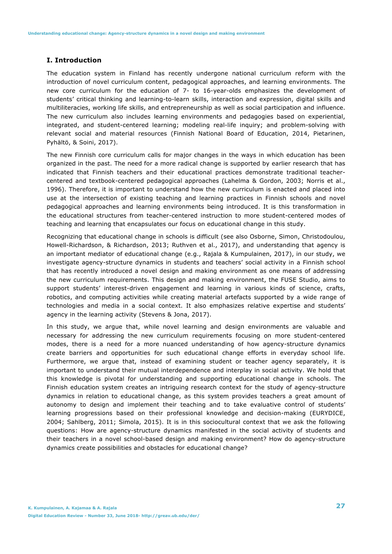## **I. Introduction**

The education system in Finland has recently undergone national curriculum reform with the introduction of novel curriculum content, pedagogical approaches, and learning environments. The new core curriculum for the education of 7- to 16-year-olds emphasizes the development of students' critical thinking and learning-to-learn skills, interaction and expression, digital skills and multiliteracies, working life skills, and entrepreneurship as well as social participation and influence. The new curriculum also includes learning environments and pedagogies based on experiential, integrated, and student-centered learning; modeling real-life inquiry; and problem-solving with relevant social and material resources (Finnish National Board of Education, 2014, Pietarinen, Pyhältö, & Soini, 2017).

The new Finnish core curriculum calls for major changes in the ways in which education has been organized in the past. The need for a more radical change is supported by earlier research that has indicated that Finnish teachers and their educational practices demonstrate traditional teachercentered and textbook-centered pedagogical approaches (Lahelma & Gordon, 2003; Norris et al., 1996). Therefore, it is important to understand how the new curriculum is enacted and placed into use at the intersection of existing teaching and learning practices in Finnish schools and novel pedagogical approaches and learning environments being introduced. It is this transformation in the educational structures from teacher-centered instruction to more student-centered modes of teaching and learning that encapsulates our focus on educational change in this study.

Recognizing that educational change in schools is difficult (see also Osborne, Simon, Christodoulou, Howell-Richardson, & Richardson, 2013; Ruthven et al., 2017), and understanding that agency is an important mediator of educational change (e.g., Rajala & Kumpulainen, 2017), in our study, we investigate agency-structure dynamics in students and teachers' social activity in a Finnish school that has recently introduced a novel design and making environment as one means of addressing the new curriculum requirements. This design and making environment, the FUSE Studio, aims to support students' interest-driven engagement and learning in various kinds of science, crafts, robotics, and computing activities while creating material artefacts supported by a wide range of technologies and media in a social context. It also emphasizes relative expertise and students' agency in the learning activity (Stevens & Jona, 2017).

In this study, we argue that, while novel learning and design environments are valuable and necessary for addressing the new curriculum requirements focusing on more student-centered modes, there is a need for a more nuanced understanding of how agency-structure dynamics create barriers and opportunities for such educational change efforts in everyday school life. Furthermore, we argue that, instead of examining student or teacher agency separately, it is important to understand their mutual interdependence and interplay in social activity. We hold that this knowledge is pivotal for understanding and supporting educational change in schools. The Finnish education system creates an intriguing research context for the study of agency-structure dynamics in relation to educational change, as this system provides teachers a great amount of autonomy to design and implement their teaching and to take evaluative control of students' learning progressions based on their professional knowledge and decision-making (EURYDICE, 2004; Sahlberg, 2011; Simola, 2015). It is in this sociocultural context that we ask the following questions: How are agency-structure dynamics manifested in the social activity of students and their teachers in a novel school-based design and making environment? How do agency-structure dynamics create possibilities and obstacles for educational change?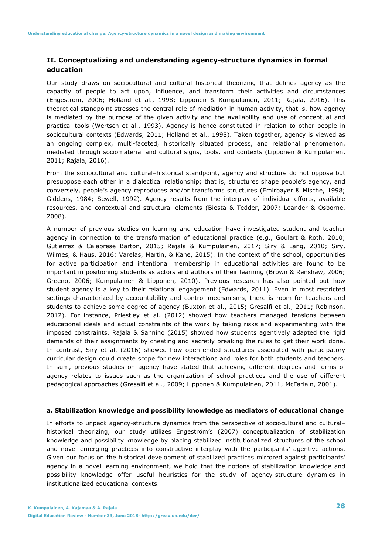## **II. Conceptualizing and understanding agency-structure dynamics in formal education**

Our study draws on sociocultural and cultural–historical theorizing that defines agency as the capacity of people to act upon, influence, and transform their activities and circumstances (Engeström, 2006; Holland et al., 1998; Lipponen & Kumpulainen, 2011; Rajala, 2016). This theoretical standpoint stresses the central role of mediation in human activity, that is, how agency is mediated by the purpose of the given activity and the availability and use of conceptual and practical tools (Wertsch et al., 1993). Agency is hence constituted in relation to other people in sociocultural contexts (Edwards, 2011; Holland et al., 1998). Taken together, agency is viewed as an ongoing complex, multi-faceted, historically situated process, and relational phenomenon, mediated through sociomaterial and cultural signs, tools, and contexts (Lipponen & Kumpulainen, 2011; Rajala, 2016).

From the sociocultural and cultural–historical standpoint, agency and structure do not oppose but presuppose each other in a dialectical relationship; that is, structures shape people's agency, and conversely, people's agency reproduces and/or transforms structures (Emirbayer & Mische, 1998; Giddens, 1984; Sewell, 1992). Agency results from the interplay of individual efforts, available resources, and contextual and structural elements (Biesta & Tedder, 2007; Leander & Osborne, 2008).

A number of previous studies on learning and education have investigated student and teacher agency in connection to the transformation of educational practice (e.g., Goulart & Roth, 2010; Gutierrez & Calabrese Barton, 2015; Rajala & Kumpulainen, 2017; Siry & Lang, 2010; Siry, Wilmes, & Haus, 2016; Varelas, Martin, & Kane, 2015). In the context of the school, opportunities for active participation and intentional membership in educational activities are found to be important in positioning students as actors and authors of their learning (Brown & Renshaw, 2006; Greeno, 2006; Kumpulainen & Lipponen, 2010). Previous research has also pointed out how student agency is a key to their relational engagement (Edwards, 2011). Even in most restricted settings characterized by accountability and control mechanisms, there is room for teachers and students to achieve some degree of agency (Buxton et al., 2015; Gresalfi et al., 2011; Robinson, 2012). For instance, Priestley et al. (2012) showed how teachers managed tensions between educational ideals and actual constraints of the work by taking risks and experimenting with the imposed constraints. Rajala & Sannino (2015) showed how students agentively adapted the rigid demands of their assignments by cheating and secretly breaking the rules to get their work done. In contrast, Siry et al. (2016) showed how open-ended structures associated with participatory curricular design could create scope for new interactions and roles for both students and teachers. In sum, previous studies on agency have stated that achieving different degrees and forms of agency relates to issues such as the organization of school practices and the use of different pedagogical approaches (Gresalfi et al., 2009; Lipponen & Kumpulainen, 2011; McFarlain, 2001).

#### **a. Stabilization knowledge and possibility knowledge as mediators of educational change**

In efforts to unpack agency-structure dynamics from the perspective of sociocultural and cultural– historical theorizing, our study utilizes Engeström's (2007) conceptualization of stabilization knowledge and possibility knowledge by placing stabilized institutionalized structures of the school and novel emerging practices into constructive interplay with the participants' agentive actions. Given our focus on the historical development of stabilized practices mirrored against participants' agency in a novel learning environment, we hold that the notions of stabilization knowledge and possibility knowledge offer useful heuristics for the study of agency-structure dynamics in institutionalized educational contexts.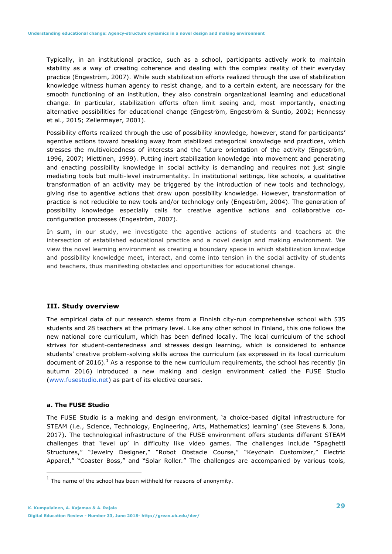Typically, in an institutional practice, such as a school, participants actively work to maintain stability as a way of creating coherence and dealing with the complex reality of their everyday practice (Engeström, 2007). While such stabilization efforts realized through the use of stabilization knowledge witness human agency to resist change, and to a certain extent, are necessary for the smooth functioning of an institution, they also constrain organizational learning and educational change. In particular, stabilization efforts often limit seeing and, most importantly, enacting alternative possibilities for educational change (Engeström, Engeström & Suntio, 2002; Hennessy et al., 2015; Zellermayer, 2001).

Possibility efforts realized through the use of possibility knowledge, however, stand for participants' agentive actions toward breaking away from stabilized categorical knowledge and practices, which stresses the multivoicedness of interests and the future orientation of the activity (Engeström, 1996, 2007; Miettinen, 1999). Putting inert stabilization knowledge into movement and generating and enacting possibility knowledge in social activity is demanding and requires not just single mediating tools but multi-level instrumentality. In institutional settings, like schools, a qualitative transformation of an activity may be triggered by the introduction of new tools and technology, giving rise to agentive actions that draw upon possibility knowledge. However, transformation of practice is not reducible to new tools and/or technology only (Engeström, 2004). The generation of possibility knowledge especially calls for creative agentive actions and collaborative coconfiguration processes (Engeström, 2007).

In sum, in our study, we investigate the agentive actions of students and teachers at the intersection of established educational practice and a novel design and making environment. We view the novel learning environment as creating a boundary space in which stabilization knowledge and possibility knowledge meet, interact, and come into tension in the social activity of students and teachers, thus manifesting obstacles and opportunities for educational change.

## **III. Study overview**

The empirical data of our research stems from a Finnish city-run comprehensive school with 535 students and 28 teachers at the primary level. Like any other school in Finland, this one follows the new national core curriculum, which has been defined locally. The local curriculum of the school strives for student-centeredness and stresses design learning, which is considered to enhance students' creative problem-solving skills across the curriculum (as expressed in its local curriculum document of 2016).<sup>1</sup> As a response to the new curriculum requirements, the school has recently (in autumn 2016) introduced a new making and design environment called the FUSE Studio (www.fusestudio.net) as part of its elective courses.

#### **a. The FUSE Studio**

The FUSE Studio is a making and design environment, 'a choice-based digital infrastructure for STEAM (i.e., Science, Technology, Engineering, Arts, Mathematics) learning' (see Stevens & Jona, 2017). The technological infrastructure of the FUSE environment offers students different STEAM challenges that 'level up' in difficulty like video games. The challenges include "Spaghetti Structures," "Jewelry Designer," "Robot Obstacle Course," "Keychain Customizer," Electric Apparel," "Coaster Boss," and "Solar Roller*.*" The challenges are accompanied by various tools,

 $1$  The name of the school has been withheld for reasons of anonymity.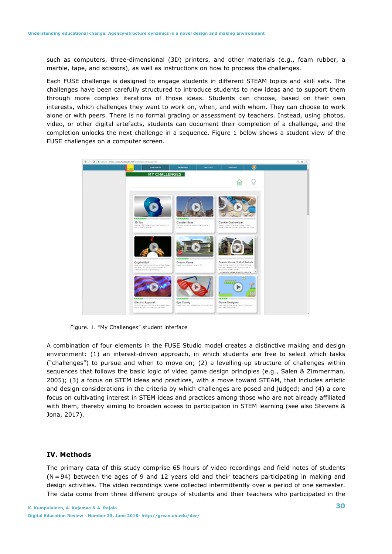such as computers, three-dimensional (3D) printers, and other materials (e.g., foam rubber, a marble, tape, and scissors), as well as instructions on how to process the challenges.

Each FUSE challenge is designed to engage students in different STEAM topics and skill sets. The challenges have been carefully structured to introduce students to new ideas and to support them through more complex iterations of those ideas. Students can choose, based on their own interests, which challenges they want to work on, when, and with whom. They can choose to work alone or with peers. There is no formal grading or assessment by teachers. Instead, using photos, video, or other digital artefacts, students can document their completion of a challenge, and the completion unlocks the next challenge in a sequence. Figure 1 below shows a student view of the FUSE challenges on a computer screen.



Figure. 1. "My Challenges" student interface

A combination of four elements in the FUSE Studio model creates a distinctive making and design environment: (1) an interest-driven approach, in which students are free to select which tasks ("challenges") to pursue and when to move on; (2) a levelling-up structure of challenges within sequences that follows the basic logic of video game design principles (e.g., Salen & Zimmerman, 2005); (3) a focus on STEM ideas and practices, with a move toward STEAM, that includes artistic and design considerations in the criteria by which challenges are posed and judged; and (4) a core focus on cultivating interest in STEM ideas and practices among those who are not already affiliated with them, thereby aiming to broaden access to participation in STEM learning (see also Stevens & Jona, 2017).

## **IV. Methods**

The primary data of this study comprise 65 hours of video recordings and field notes of students  $(N = 94)$  between the ages of 9 and 12 years old and their teachers participating in making and design activities. The video recordings were collected intermittently over a period of one semester. The data come from three different groups of students and their teachers who participated in the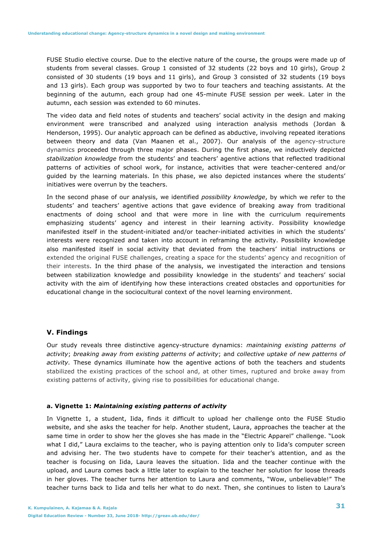FUSE Studio elective course. Due to the elective nature of the course, the groups were made up of students from several classes. Group 1 consisted of 32 students (22 boys and 10 girls), Group 2 consisted of 30 students (19 boys and 11 girls), and Group 3 consisted of 32 students (19 boys and 13 girls). Each group was supported by two to four teachers and teaching assistants. At the beginning of the autumn, each group had one 45-minute FUSE session per week. Later in the autumn, each session was extended to 60 minutes.

The video data and field notes of students and teachers' social activity in the design and making environment were transcribed and analyzed using interaction analysis methods (Jordan & Henderson, 1995). Our analytic approach can be defined as abductive, involving repeated iterations between theory and data (Van Maanen et al., 2007). Our analysis of the agency-structure dynamics proceeded through three major phases. During the first phase, we inductively depicted *stabilization knowledge* from the students' and teachers' agentive actions that reflected traditional patterns of activities of school work, for instance, activities that were teacher-centered and/or guided by the learning materials. In this phase, we also depicted instances where the students' initiatives were overrun by the teachers.

In the second phase of our analysis, we identified *possibility knowledge*, by which we refer to the students' and teachers' agentive actions that gave evidence of breaking away from traditional enactments of doing school and that were more in line with the curriculum requirements emphasizing students' agency and interest in their learning activity. Possibility knowledge manifested itself in the student-initiated and/or teacher-initiated activities in which the students' interests were recognized and taken into account in reframing the activity. Possibility knowledge also manifested itself in social activity that deviated from the teachers' initial instructions or extended the original FUSE challenges, creating a space for the students' agency and recognition of their interests. In the third phase of the analysis, we investigated the interaction and tensions between stabilization knowledge and possibility knowledge in the students' and teachers' social activity with the aim of identifying how these interactions created obstacles and opportunities for educational change in the sociocultural context of the novel learning environment.

## **V. Findings**

Our study reveals three distinctive agency-structure dynamics: *maintaining existing patterns of activity*; *breaking away from existing patterns of activity*; and *collective uptake of new patterns of activity.* These dynamics illuminate how the agentive actions of both the teachers and students stabilized the existing practices of the school and, at other times, ruptured and broke away from existing patterns of activity, giving rise to possibilities for educational change.

#### **a. Vignette 1:** *Maintaining existing patterns of activity*

In Vignette 1, a student, Iida, finds it difficult to upload her challenge onto the FUSE Studio website, and she asks the teacher for help. Another student, Laura, approaches the teacher at the same time in order to show her the gloves she has made in the "Electric Apparel" challenge. "Look what I did," Laura exclaims to the teacher, who is paying attention only to Iida's computer screen and advising her. The two students have to compete for their teacher's attention, and as the teacher is focusing on Iida, Laura leaves the situation. Iida and the teacher continue with the upload, and Laura comes back a little later to explain to the teacher her solution for loose threads in her gloves. The teacher turns her attention to Laura and comments, "Wow, unbelievable!" The teacher turns back to Iida and tells her what to do next. Then, she continues to listen to Laura's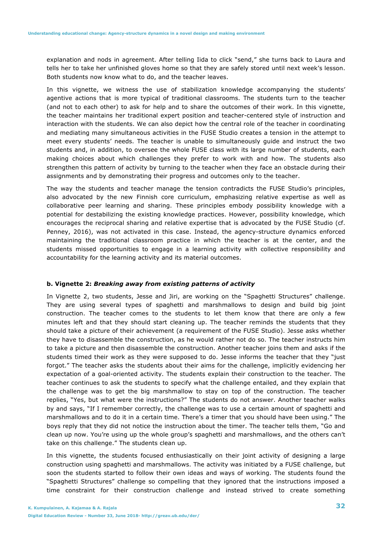explanation and nods in agreement. After telling Iida to click "send," she turns back to Laura and tells her to take her unfinished gloves home so that they are safely stored until next week's lesson. Both students now know what to do, and the teacher leaves.

In this vignette, we witness the use of stabilization knowledge accompanying the students' agentive actions that is more typical of traditional classrooms. The students turn to the teacher (and not to each other) to ask for help and to share the outcomes of their work. In this vignette, the teacher maintains her traditional expert position and teacher-centered style of instruction and interaction with the students. We can also depict how the central role of the teacher in coordinating and mediating many simultaneous activities in the FUSE Studio creates a tension in the attempt to meet every students' needs. The teacher is unable to simultaneously guide and instruct the two students and, in addition, to oversee the whole FUSE class with its large number of students, each making choices about which challenges they prefer to work with and how. The students also strengthen this pattern of activity by turning to the teacher when they face an obstacle during their assignments and by demonstrating their progress and outcomes only to the teacher.

The way the students and teacher manage the tension contradicts the FUSE Studio's principles, also advocated by the new Finnish core curriculum, emphasizing relative expertise as well as collaborative peer learning and sharing. These principles embody possibility knowledge with a potential for destabilizing the existing knowledge practices. However, possibility knowledge, which encourages the reciprocal sharing and relative expertise that is advocated by the FUSE Studio (cf. Penney, 2016), was not activated in this case. Instead, the agency-structure dynamics enforced maintaining the traditional classroom practice in which the teacher is at the center, and the students missed opportunities to engage in a learning activity with collective responsibility and accountability for the learning activity and its material outcomes.

## **b. Vignette 2:** *Breaking away from existing patterns of activity*

In Vignette 2, two students, Jesse and Jiri, are working on the "Spaghetti Structures" challenge. They are using several types of spaghetti and marshmallows to design and build big joint construction. The teacher comes to the students to let them know that there are only a few minutes left and that they should start cleaning up. The teacher reminds the students that they should take a picture of their achievement (a requirement of the FUSE Studio). Jesse asks whether they have to disassemble the construction, as he would rather not do so. The teacher instructs him to take a picture and then disassemble the construction. Another teacher joins them and asks if the students timed their work as they were supposed to do. Jesse informs the teacher that they "just forgot." The teacher asks the students about their aims for the challenge, implicitly evidencing her expectation of a goal-oriented activity. The students explain their construction to the teacher. The teacher continues to ask the students to specify what the challenge entailed, and they explain that the challenge was to get the big marshmallow to stay on top of the construction. The teacher replies, "Yes, but what were the instructions?" The students do not answer. Another teacher walks by and says, "If I remember correctly, the challenge was to use a certain amount of spaghetti and marshmallows and to do it in a certain time. There's a timer that you should have been using." The boys reply that they did not notice the instruction about the timer. The teacher tells them, "Go and clean up now. You're using up the whole group's spaghetti and marshmallows, and the others can't take on this challenge." The students clean up.

In this vignette, the students focused enthusiastically on their joint activity of designing a large construction using spaghetti and marshmallows. The activity was initiated by a FUSE challenge, but soon the students started to follow their own ideas and ways of working. The students found the "Spaghetti Structures" challenge so compelling that they ignored that the instructions imposed a time constraint for their construction challenge and instead strived to create something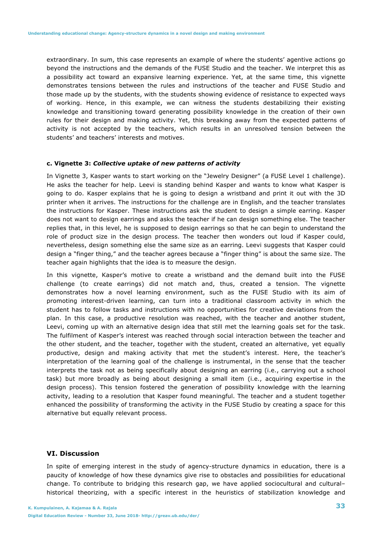extraordinary. In sum, this case represents an example of where the students' agentive actions go beyond the instructions and the demands of the FUSE Studio and the teacher. We interpret this as a possibility act toward an expansive learning experience. Yet, at the same time, this vignette demonstrates tensions between the rules and instructions of the teacher and FUSE Studio and those made up by the students, with the students showing evidence of resistance to expected ways of working. Hence, in this example, we can witness the students destabilizing their existing knowledge and transitioning toward generating possibility knowledge in the creation of their own rules for their design and making activity. Yet, this breaking away from the expected patterns of activity is not accepted by the teachers, which results in an unresolved tension between the students' and teachers' interests and motives.

#### **c. Vignette 3:** *Collective uptake of new patterns of activity*

In Vignette 3, Kasper wants to start working on the "Jewelry Designer" (a FUSE Level 1 challenge). He asks the teacher for help. Leevi is standing behind Kasper and wants to know what Kasper is going to do. Kasper explains that he is going to design a wristband and print it out with the 3D printer when it arrives. The instructions for the challenge are in English, and the teacher translates the instructions for Kasper. These instructions ask the student to design a simple earring. Kasper does not want to design earrings and asks the teacher if he can design something else. The teacher replies that, in this level, he is supposed to design earrings so that he can begin to understand the role of product size in the design process. The teacher then wonders out loud if Kasper could, nevertheless, design something else the same size as an earring. Leevi suggests that Kasper could design a "finger thing," and the teacher agrees because a "finger thing" is about the same size. The teacher again highlights that the idea is to measure the design.

In this vignette, Kasper's motive to create a wristband and the demand built into the FUSE challenge (to create earrings) did not match and, thus, created a tension. The vignette demonstrates how a novel learning environment, such as the FUSE Studio with its aim of promoting interest-driven learning, can turn into a traditional classroom activity in which the student has to follow tasks and instructions with no opportunities for creative deviations from the plan. In this case, a productive resolution was reached, with the teacher and another student, Leevi, coming up with an alternative design idea that still met the learning goals set for the task. The fulfilment of Kasper's interest was reached through social interaction between the teacher and the other student, and the teacher, together with the student, created an alternative, yet equally productive, design and making activity that met the student's interest. Here, the teacher's interpretation of the learning goal of the challenge is instrumental, in the sense that the teacher interprets the task not as being specifically about designing an earring (i.e., carrying out a school task) but more broadly as being about designing a small item (i.e., acquiring expertise in the design process). This tension fostered the generation of possibility knowledge with the learning activity, leading to a resolution that Kasper found meaningful. The teacher and a student together enhanced the possibility of transforming the activity in the FUSE Studio by creating a space for this alternative but equally relevant process.

## **VI. Discussion**

In spite of emerging interest in the study of agency-structure dynamics in education, there is a paucity of knowledge of how these dynamics give rise to obstacles and possibilities for educational change. To contribute to bridging this research gap, we have applied sociocultural and cultural– historical theorizing, with a specific interest in the heuristics of stabilization knowledge and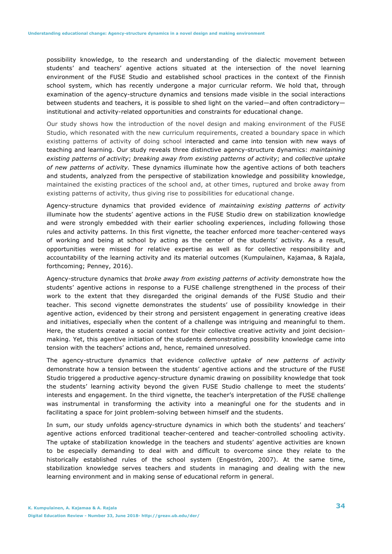possibility knowledge, to the research and understanding of the dialectic movement between students' and teachers' agentive actions situated at the intersection of the novel learning environment of the FUSE Studio and established school practices in the context of the Finnish school system, which has recently undergone a major curricular reform. We hold that, through examination of the agency-structure dynamics and tensions made visible in the social interactions between students and teachers, it is possible to shed light on the varied—and often contradictory institutional and activity-related opportunities and constraints for educational change.

Our study shows how the introduction of the novel design and making environment of the FUSE Studio, which resonated with the new curriculum requirements, created a boundary space in which existing patterns of activity of doing school interacted and came into tension with new ways of teaching and learning. Our study reveals three distinctive agency-structure dynamics: *maintaining existing patterns of activity*; *breaking away from existing patterns of activity*; and *collective uptake of new patterns of activity.* These dynamics illuminate how the agentive actions of both teachers and students, analyzed from the perspective of stabilization knowledge and possibility knowledge, maintained the existing practices of the school and, at other times, ruptured and broke away from existing patterns of activity, thus giving rise to possibilities for educational change.

Agency-structure dynamics that provided evidence of *maintaining existing patterns of activity* illuminate how the students' agentive actions in the FUSE Studio drew on stabilization knowledge and were strongly embedded with their earlier schooling experiences, including following those rules and activity patterns. In this first vignette, the teacher enforced more teacher-centered ways of working and being at school by acting as the center of the students' activity. As a result, opportunities were missed for relative expertise as well as for collective responsibility and accountability of the learning activity and its material outcomes (Kumpulainen, Kajamaa, & Rajala, forthcoming; Penney, 2016).

Agency-structure dynamics that *broke away from existing patterns of activity* demonstrate how the students' agentive actions in response to a FUSE challenge strengthened in the process of their work to the extent that they disregarded the original demands of the FUSE Studio and their teacher. This second vignette demonstrates the students' use of possibility knowledge in their agentive action, evidenced by their strong and persistent engagement in generating creative ideas and initiatives, especially when the content of a challenge was intriguing and meaningful to them. Here, the students created a social context for their collective creative activity and joint decisionmaking. Yet, this agentive initiation of the students demonstrating possibility knowledge came into tension with the teachers' actions and, hence, remained unresolved.

The agency-structure dynamics that evidence *collective uptake of new patterns of activity*  demonstrate how a tension between the students' agentive actions and the structure of the FUSE Studio triggered a productive agency-structure dynamic drawing on possibility knowledge that took the students' learning activity beyond the given FUSE Studio challenge to meet the students' interests and engagement. In the third vignette, the teacher's interpretation of the FUSE challenge was instrumental in transforming the activity into a meaningful one for the students and in facilitating a space for joint problem-solving between himself and the students.

In sum, our study unfolds agency-structure dynamics in which both the students' and teachers' agentive actions enforced traditional teacher-centered and teacher-controlled schooling activity. The uptake of stabilization knowledge in the teachers and students' agentive activities are known to be especially demanding to deal with and difficult to overcome since they relate to the historically established rules of the school system (Engeström, 2007). At the same time, stabilization knowledge serves teachers and students in managing and dealing with the new learning environment and in making sense of educational reform in general.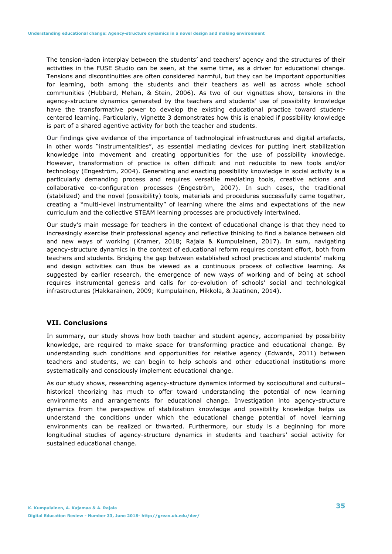The tension-laden interplay between the students' and teachers' agency and the structures of their activities in the FUSE Studio can be seen, at the same time, as a driver for educational change. Tensions and discontinuities are often considered harmful, but they can be important opportunities for learning, both among the students and their teachers as well as across whole school communities (Hubbard, Mehan, & Stein, 2006). As two of our vignettes show, tensions in the agency-structure dynamics generated by the teachers and students' use of possibility knowledge have the transformative power to develop the existing educational practice toward studentcentered learning. Particularly, Vignette 3 demonstrates how this is enabled if possibility knowledge is part of a shared agentive activity for both the teacher and students.

Our findings give evidence of the importance of technological infrastructures and digital artefacts, in other words "instrumentalities", as essential mediating devices for putting inert stabilization knowledge into movement and creating opportunities for the use of possibility knowledge. However, transformation of practice is often difficult and not reducible to new tools and/or technology (Engeström, 2004). Generating and enacting possibility knowledge in social activity is a particularly demanding process and requires versatile mediating tools, creative actions and collaborative co-configuration processes (Engeström, 2007). In such cases, the traditional (stabilized) and the novel (possibility) tools, materials and procedures successfully came together, creating a "multi-level instrumentality" of learning where the aims and expectations of the new curriculum and the collective STEAM learning processes are productively intertwined.

Our study's main message for teachers in the context of educational change is that they need to increasingly exercise their professional agency and reflective thinking to find a balance between old and new ways of working (Kramer, 2018; Rajala & Kumpulainen, 2017). In sum, navigating agency-structure dynamics in the context of educational reform requires constant effort, both from teachers and students. Bridging the gap between established school practices and students' making and design activities can thus be viewed as a continuous process of collective learning. As suggested by earlier research, the emergence of new ways of working and of being at school requires instrumental genesis and calls for co-evolution of schools' social and technological infrastructures (Hakkarainen, 2009; Kumpulainen, Mikkola, & Jaatinen, 2014).

## **VII. Conclusions**

In summary, our study shows how both teacher and student agency, accompanied by possibility knowledge, are required to make space for transforming practice and educational change. By understanding such conditions and opportunities for relative agency (Edwards, 2011) between teachers and students, we can begin to help schools and other educational institutions more systematically and consciously implement educational change.

As our study shows, researching agency-structure dynamics informed by sociocultural and cultural– historical theorizing has much to offer toward understanding the potential of new learning environments and arrangements for educational change. Investigation into agency-structure dynamics from the perspective of stabilization knowledge and possibility knowledge helps us understand the conditions under which the educational change potential of novel learning environments can be realized or thwarted. Furthermore, our study is a beginning for more longitudinal studies of agency-structure dynamics in students and teachers' social activity for sustained educational change.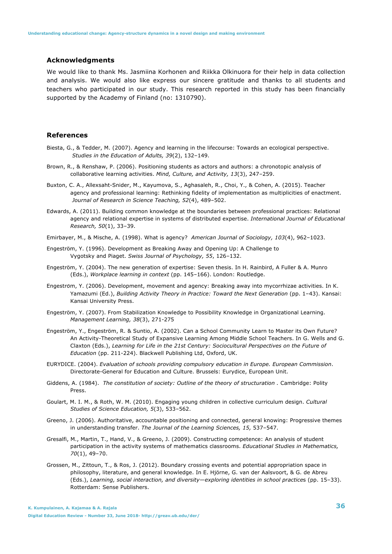## **Acknowledgments**

We would like to thank Ms. Jasmiina Korhonen and Riikka Olkinuora for their help in data collection and analysis. We would also like express our sincere gratitude and thanks to all students and teachers who participated in our study. This research reported in this study has been financially supported by the Academy of Finland (no: 1310790).

#### **References**

- Biesta, G., & Tedder, M. (2007). Agency and learning in the lifecourse: Towards an ecological perspective. *Studies in the Education of Adults, 39*(2), 132–149.
- Brown, R., & Renshaw, P. (2006). Positioning students as actors and authors: a chronotopic analysis of collaborative learning activities. *Mind, Culture, and Activity, 13*(3), 247–259.
- Buxton, C. A., Allexsaht-Snider, M., Kayumova, S., Aghasaleh, R., Choi, Y., & Cohen, A. (2015). Teacher agency and professional learning: Rethinking fidelity of implementation as multiplicities of enactment. *Journal of Research in Science Teaching, 52*(4), 489–502.
- Edwards, A. (2011). Building common knowledge at the boundaries between professional practices: Relational agency and relational expertise in systems of distributed expertise. *International Journal of Educational Research, 50*(1), 33–39.
- Emirbayer, M., & Mische, A. (1998). What is agency? *American Journal of Sociology, 103*(4), 962–1023.
- Engeström, Y. (1996). Development as Breaking Away and Opening Up: A Challenge to Vygotsky and Piaget. *Swiss Journal of Psychology, 55*, 126–132.
- Engeström, Y. (2004). The new generation of expertise: Seven thesis. In H. Rainbird, A Fuller & A. Munro (Eds.), *Workplace learning in context* (pp. 145–166). London: Routledge.
- Engeström, Y. (2006). Development, movement and agency: Breaking away into mycorrhizae activities. In K. Yamazumi (Ed.), *Building Activity Theory in Practice: Toward the Next Generation* (pp. 1–43). Kansai: Kansai University Press.
- Engeström, Y. (2007). From Stabilization Knowledge to Possibility Knowledge in Organizational Learning. *Management Learning, 38*(3), 271-275
- Engeström, Y., Engeström, R. & Suntio, A. (2002). Can a School Community Learn to Master its Own Future? An Activity-Theoretical Study of Expansive Learning Among Middle School Teachers. In G. Wells and G. Claxton (Eds.), *Learning for Life in the 21st Century: Sociocultural Perspectives on the Future of Education* (pp. 211-224). Blackwell Publishing Ltd, Oxford, UK.
- EURYDICE. (2004). *Evaluation of schools providing compulsory education in Europe. European Commission*. Directorate-General for Education and Culture. Brussels: Eurydice, European Unit.
- Giddens, A. (1984). *The constitution of society: Outline of the theory of structuration . Cambridge: Polity* Press.
- Goulart, M. I. M., & Roth, W. M. (2010). Engaging young children in collective curriculum design. *Cultural Studies of Science Education, 5*(3), 533–562.
- Greeno, J. (2006). Authoritative, accountable positioning and connected, general knowing: Progressive themes in understanding transfer. *The Journal of the Learning Sciences, 15,* 537–547.
- Gresalfi, M., Martin, T., Hand, V., & Greeno, J. (2009). Constructing competence: An analysis of student participation in the activity systems of mathematics classrooms. *Educational Studies in Mathematics, 70*(1), 49–70.
- Grossen, M., Zittoun, T., & Ros, J. (2012). Boundary crossing events and potential appropriation space in philosophy, literature, and general knowledge. In E. Hjörne, G. van der Aalsvoort, & G. de Abreu (Eds.), *Learning, social interaction, and diversity—exploring identities in school practice*s (pp. 15–33). Rotterdam: Sense Publishers.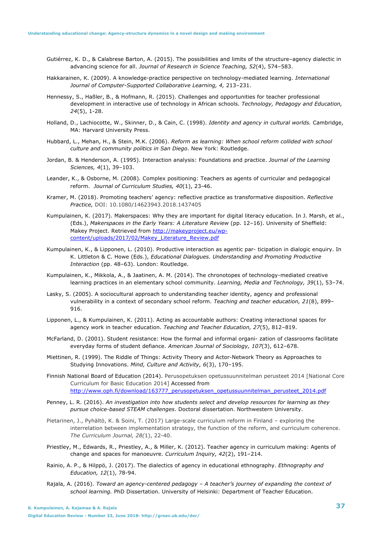- Gutiérrez, K. D., & Calabrese Barton, A. (2015). The possibilities and limits of the structure–agency dialectic in advancing science for all. *Journal of Research in Science Teaching, 52*(4), 574–583.
- Hakkarainen, K. (2009). A knowledge-practice perspective on technology-mediated learning. *International Journal of Computer-Supported Collaborative Learning, 4,* 213–231.
- Hennessy, S., Haßler, B., & Hofmann, R. (2015). Challenges and opportunities for teacher professional development in interactive use of technology in African schools. *Technology, Pedagogy and Education, 24*(5), 1-28.
- Holland, D., Lachiocotte, W., Skinner, D., & Cain, C. (1998). *Identity and agency in cultural worlds.* Cambridge, MA: Harvard University Press.
- Hubbard, L., Mehan, H., & Stein, M.K. (2006). *Reform as learning: When school reform collided with school culture and community politics in San Diego*. New York: Routledge.
- Jordan, B. & Henderson, A. (1995). Interaction analysis: Foundations and practice. *Journal of the Learning Sciences, 4*(1), 39–103.
- Leander, K., & Osborne, M. (2008). Complex positioning: Teachers as agents of curricular and pedagogical reform. *Journal of Curriculum Studies, 40*(1), 23-46.
- Kramer, M. (2018). Promoting teachers' agency: reflective practice as transformative disposition. *Reflective Practice,* DOI: 10.1080/14623943.2018.1437405
- Kumpulainen, K. (2017). Makerspaces: Why they are important for digital literacy education. In J. Marsh, et al., (Eds.), *Makerspaces in the Early Years: A Literature Review* (pp. 12–16). University of Sheffield: Makey Project. Retrieved from http://makeyproject.eu/wpcontent/uploads/2017/02/Makey\_Literature\_Review.pdf
- Kumpulainen, K., & Lipponen, L. (2010). Productive interaction as agentic par- ticipation in dialogic enquiry. In K. Littleton & C. Howe (Eds.), *Educational Dialogues. Understanding and Promoting Productive Interaction* (pp. 48–63). London: Routledge.
- Kumpulainen, K., Mikkola, A., & Jaatinen, A. M. (2014). The chronotopes of technology-mediated creative learning practices in an elementary school community. *Learning, Media and Technology, 39*(1), 53–74.
- Lasky, S. (2005). A sociocultural approach to understanding teacher identity, agency and professional vulnerability in a context of secondary school reform. *Teaching and teacher education, 21*(8), 899– 916.
- Lipponen, L., & Kumpulainen, K. (2011). Acting as accountable authors: Creating interactional spaces for agency work in teacher education. *Teaching and Teacher Education, 27*(5), 812–819.
- McFarland, D. (2001). Student resistance: How the formal and informal organi- zation of classrooms facilitate everyday forms of student defiance. *American Journal of Sociology, 107*(3), 612–678.
- Miettinen, R. (1999). The Riddle of Things: Activity Theory and Actor-Network Theory as Approaches to Studying Innovations. *Mind, Culture and Activity, 6*(3), 170–195.
- Finnish National Board of Education (2014). Perusopetuksen opetussuunnitelman perusteet 2014 [National Core Curriculum for Basic Education 2014] Accessed from http://www.oph.fi/download/163777\_perusopetuksen\_opetussuunnitelman\_perusteet\_2014.pdf
- Penney, L. R. (2016). *An investigation into how students select and develop resources for learning as they pursue choice-based STEAM challenges*. Doctoral dissertation. Northwestern University.
- Pietarinen, J., Pyhältö, K. & Soini, T. (2017) Large-scale curriculum reform in Finland exploring the interrelation between implementation strategy, the function of the reform, and curriculum coherence. *The Curriculum Journal, 28(*1), 22-40.
- Priestley, M., Edwards, R., Priestley, A., & Miller, K. (2012). Teacher agency in curriculum making: Agents of change and spaces for manoeuvre. *Curriculum Inquiry, 42*(2), 191–214.
- Rainio, A. P., & Hilppö, J. (2017). The dialectics of agency in educational ethnography. *Ethnography and Education, 12*(1), 78-94.
- Rajala, A. (2016). *Toward an agency-centered pedagogy A teacher's journey of expanding the context of school learning.* PhD Dissertation. University of Helsinki: Department of Teacher Education.